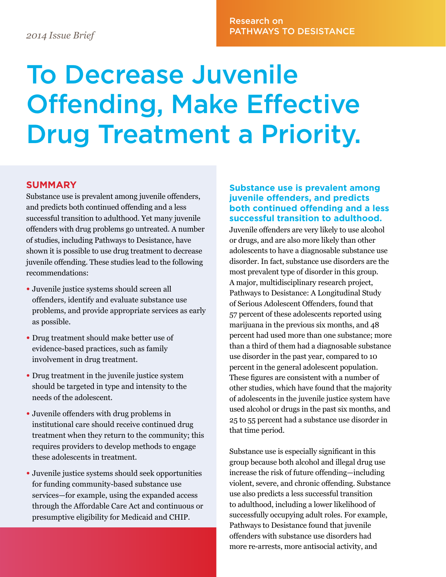# Research on PATHWAYS TO DESISTANCE *2014 Issue Brief*

# To Decrease Juvenile Offending, Make Effective Drug Treatment a Priority.

# **SUMMARY**

Substance use is prevalent among juvenile offenders, and predicts both continued offending and a less successful transition to adulthood. Yet many juvenile offenders with drug problems go untreated. A number of studies, including Pathways to Desistance, have shown it is possible to use drug treatment to decrease juvenile offending. These studies lead to the following recommendations:

- Juvenile justice systems should screen all offenders, identify and evaluate substance use problems, and provide appropriate services as early as possible.
- Drug treatment should make better use of evidence-based practices, such as family involvement in drug treatment.
- Drug treatment in the juvenile justice system should be targeted in type and intensity to the needs of the adolescent.
- Juvenile offenders with drug problems in institutional care should receive continued drug treatment when they return to the community; this requires providers to develop methods to engage these adolescents in treatment.
- Juvenile justice systems should seek opportunities for funding community-based substance use services—for example, using the expanded access through the Affordable Care Act and continuous or presumptive eligibility for Medicaid and CHIP.

## **Substance use is prevalent among juvenile offenders, and predicts both continued offending and a less successful transition to adulthood.**

Juvenile offenders are very likely to use alcohol or drugs, and are also more likely than other adolescents to have a diagnosable substance use disorder. In fact, substance use disorders are the most prevalent type of disorder in this group. A major, multidisciplinary research project, Pathways to Desistance: A Longitudinal Study of Serious Adolescent Offenders, found that 57 percent of these adolescents reported using marijuana in the previous six months, and 48 percent had used more than one substance; more than a third of them had a diagnosable substance use disorder in the past year, compared to 10 percent in the general adolescent population. These figures are consistent with a number of other studies, which have found that the majority of adolescents in the juvenile justice system have used alcohol or drugs in the past six months, and 25 to 55 percent had a substance use disorder in that time period.

Substance use is especially significant in this group because both alcohol and illegal drug use increase the risk of future offending—including violent, severe, and chronic offending. Substance use also predicts a less successful transition to adulthood, including a lower likelihood of successfully occupying adult roles. For example, Pathways to Desistance found that juvenile offenders with substance use disorders had more re-arrests, more antisocial activity, and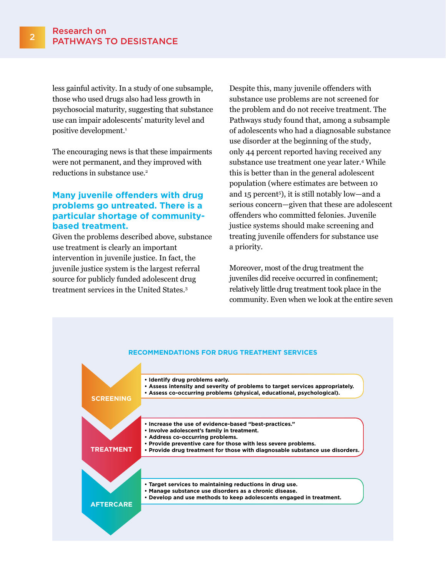less gainful activity. In a study of one subsample, those who used drugs also had less growth in psychosocial maturity, suggesting that substance use can impair adolescents' maturity level and positive development.<sup>1</sup>

The encouraging news is that these impairments were not permanent, and they improved with reductions in substance use.<sup>2</sup>

### **Many juvenile offenders with drug problems go untreated. There is a particular shortage of communitybased treatment.**

Given the problems described above, substance use treatment is clearly an important intervention in juvenile justice. In fact, the juvenile justice system is the largest referral source for publicly funded adolescent drug treatment services in the United States.3

Despite this, many juvenile offenders with substance use problems are not screened for the problem and do not receive treatment. The Pathways study found that, among a subsample of adolescents who had a diagnosable substance use disorder at the beginning of the study, only 44 percent reported having received any substance use treatment one year later.4 While this is better than in the general adolescent population (where estimates are between 10 and 15 percent5), it is still notably low—and a serious concern—given that these are adolescent offenders who committed felonies. Juvenile justice systems should make screening and treating juvenile offenders for substance use a priority.

Moreover, most of the drug treatment the juveniles did receive occurred in confinement; relatively little drug treatment took place in the community. Even when we look at the entire seven

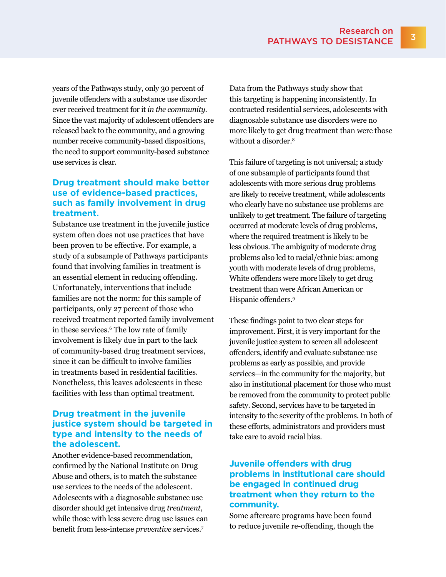years of the Pathways study, only 30 percent of juvenile offenders with a substance use disorder ever received treatment for it *in the community*. Since the vast majority of adolescent offenders are released back to the community, and a growing number receive community-based dispositions, the need to support community-based substance use services is clear.

### **Drug treatment should make better use of evidence-based practices, such as family involvement in drug treatment.**

Substance use treatment in the juvenile justice system often does not use practices that have been proven to be effective. For example, a study of a subsample of Pathways participants found that involving families in treatment is an essential element in reducing offending. Unfortunately, interventions that include families are not the norm: for this sample of participants, only 27 percent of those who received treatment reported family involvement in these services.6 The low rate of family involvement is likely due in part to the lack of community-based drug treatment services, since it can be difficult to involve families in treatments based in residential facilities. Nonetheless, this leaves adolescents in these facilities with less than optimal treatment.

### **Drug treatment in the juvenile justice system should be targeted in type and intensity to the needs of the adolescent.**

Another evidence-based recommendation, confirmed by the National Institute on Drug Abuse and others, is to match the substance use services to the needs of the adolescent. Adolescents with a diagnosable substance use disorder should get intensive drug *treatment*, while those with less severe drug use issues can benefit from less-intense *preventive* services.7

Data from the Pathways study show that this targeting is happening inconsistently. In contracted residential services, adolescents with diagnosable substance use disorders were no more likely to get drug treatment than were those without a disorder.<sup>8</sup>

This failure of targeting is not universal; a study of one subsample of participants found that adolescents with more serious drug problems are likely to receive treatment, while adolescents who clearly have no substance use problems are unlikely to get treatment. The failure of targeting occurred at moderate levels of drug problems, where the required treatment is likely to be less obvious. The ambiguity of moderate drug problems also led to racial/ethnic bias: among youth with moderate levels of drug problems, White offenders were more likely to get drug treatment than were African American or Hispanic offenders.9

These findings point to two clear steps for improvement. First, it is very important for the juvenile justice system to screen all adolescent offenders, identify and evaluate substance use problems as early as possible, and provide services—in the community for the majority, but also in institutional placement for those who must be removed from the community to protect public safety. Second, services have to be targeted in intensity to the severity of the problems. In both of these efforts, administrators and providers must take care to avoid racial bias.

## **Juvenile offenders with drug problems in institutional care should be engaged in continued drug treatment when they return to the community.**

Some aftercare programs have been found to reduce juvenile re-offending, though the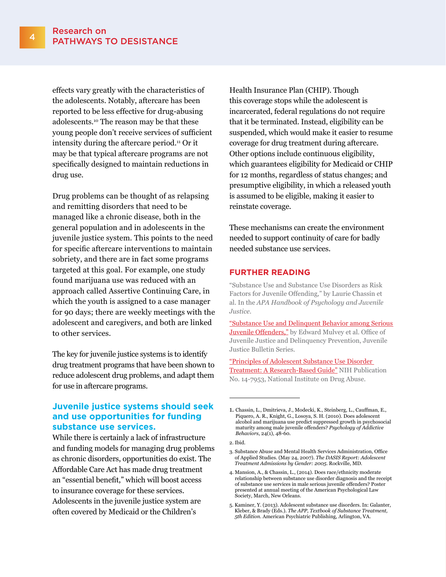effects vary greatly with the characteristics of the adolescents. Notably, aftercare has been reported to be less effective for drug-abusing adolescents.10 The reason may be that these young people don't receive services of sufficient intensity during the aftercare period.11 Or it may be that typical aftercare programs are not specifically designed to maintain reductions in drug use.

Drug problems can be thought of as relapsing and remitting disorders that need to be managed like a chronic disease, both in the general population and in adolescents in the juvenile justice system. This points to the need for specific aftercare interventions to maintain sobriety, and there are in fact some programs targeted at this goal. For example, one study found marijuana use was reduced with an approach called Assertive Continuing Care, in which the youth is assigned to a case manager for 90 days; there are weekly meetings with the adolescent and caregivers, and both are linked to other services.

The key for juvenile justice systems is to identify drug treatment programs that have been shown to reduce adolescent drug problems, and adapt them for use in aftercare programs.

#### **Juvenile justice systems should seek and use opportunities for funding substance use services.**

While there is certainly a lack of infrastructure and funding models for managing drug problems as chronic disorders, opportunities do exist. The Affordable Care Act has made drug treatment an "essential benefit," which will boost access to insurance coverage for these services. Adolescents in the juvenile justice system are often covered by Medicaid or the Children's

Health Insurance Plan (CHIP). Though this coverage stops while the adolescent is incarcerated, federal regulations do not require that it be terminated. Instead, eligibility can be suspended, which would make it easier to resume coverage for drug treatment during aftercare. Other options include continuous eligibility, which guarantees eligibility for Medicaid or CHIP for 12 months, regardless of status changes; and presumptive eligibility, in which a released youth is assumed to be eligible, making it easier to reinstate coverage.

These mechanisms can create the environment needed to support continuity of care for badly needed substance use services.

#### **FURTHER READING**

"Substance Use and Substance Use Disorders as Risk Factors for Juvenile Offending," by Laurie Chassin et al. In the *APA Handbook of Psychology and Juvenile Justice*.

["Substance Use and Delinquent Behavior among Serious](https://www.ncjrs.gov/pdffiles1/ojjdp/232790.pdf)  [Juvenile Offenders](https://www.ncjrs.gov/pdffiles1/ojjdp/232790.pdf)," by Edward Mulvey et al. Office of Juvenile Justice and Delinquency Prevention, Juvenile Justice Bulletin Series.

["Principles of Adolescent Substance Use Disorder](http://www.drugabuse.gov/sites/default/files/podata_1_17_14.pdf)  [Treatment: A Research-Based Guide"](http://www.drugabuse.gov/sites/default/files/podata_1_17_14.pdf) NIH Publication No. 14-7953, National Institute on Drug Abuse.

<sup>1.</sup> Chassin, L., Dmitrieva, J., Modecki, K., Steinberg, L., Cauffman, E., Piquero, A. R., Knight, G., Losoya, S. H. (2010). Does adolescent alcohol and marijuana use predict suppressed growth in psychosocial maturity among male juvenile offenders? *Psychology of Addictive Behaviors*, 24(1), 48-60.

<sup>2.</sup> Ibid.

<sup>3.</sup> Substance Abuse and Mental Health Services Administration, Office of Applied Studies. (May 24, 2007). *The DASIS Report: Adolescent Treatment Admissions by Gender: 2005*. Rockville, MD.

<sup>4.</sup> Mansion, A., & Chassin, L., (2014). Does race/ethnicity moderate relationship between substance use disorder diagnosis and the receipt of substance use services in male serious juvenile offenders? Poster presented at annual meeting of the American Psychological Law Society, March, New Orleans.

<sup>5.</sup> Kaminer, Y. (2013). Adolescent substance use disorders. In: Galanter, Kleber, & Brady (Eds.). *The APP, Textbook of Substance Treatment, 5th Edition*. American Psychiatric Publishing, Arlington, VA.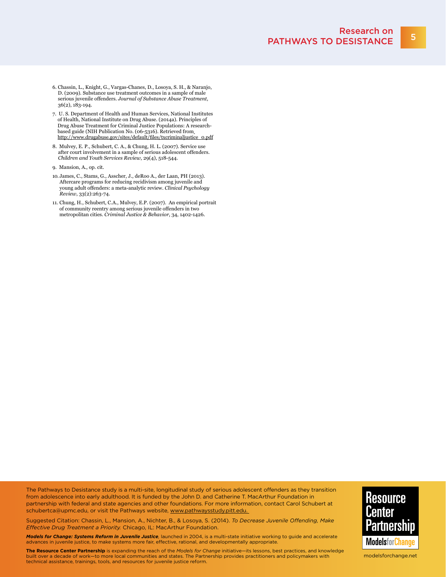- 6. Chassin, L., Knight, G., Vargas-Chanes, D., Losoya, S. H., & Naranjo, D. (2009). Substance use treatment outcomes in a sample of male serious juvenile offenders. *Journal of Substance Abuse Treatment*, 36(2), 183-194.
- 7. U. S. Department of Health and Human Services, National Institutes of Health, National Institute on Drug Abuse. (2014a). Principles of Drug Abuse Treatment for Criminal Justice Populations: A researchbased guide (NIH Publication No. (06-5316). Retrieved from [http://www.drugabuse.gov/sites/default/files/txcriminaljustice\\_0.pdf](http://www.drugabuse.gov/sites/default/files/txcriminaljustice_0.pdf)
- 8. Mulvey, E. P., Schubert, C. A., & Chung, H. L. (2007). Service use after court involvement in a sample of serious adolescent offenders. *Children and Youth Services Review*, 29(4), 518-544.
- 9. Mansion, A., op. cit.
- 10. James, C., Stams, G., Asscher, J., deRoo A., der Laan, PH (2013). Aftercare programs for reducing recidivism among juvenile and young adult offenders: a meta-analytic review. *Clinical Psychology Review*, 33(2):263-74.
- 11. Chung, H., Schubert, C.A., Mulvey, E.P. (2007). An empirical portrait of community reentry among serious juvenile offenders in two metropolitan cities. *Criminal Justice & Behavior*, 34, 1402-1426.

The Pathways to Desistance study is a multi-site, longitudinal study of serious adolescent offenders as they transition from adolescence into early adulthood. It is funded by the John D. and Catherine T. MacArthur Foundation in partnership with federal and state agencies and other foundations. For more information, contact Carol Schubert at [schubertca@upmc.edu,](mailto:schubertca@upmc.edu) or visit the Pathways website, <www.pathwaysstudy.pitt.edu>.

**Resource** Center Partnershin **ModelsforChange** 

Suggested Citation: Chassin, L., Mansion, A., Nichter, B., & Losoya, S. (2014). *To Decrease Juvenile Offending, Make Effective Drug Treatment a Priority.* Chicago, IL: MacArthur Foundation.

*Models for Change: Systems Reform in Juvenile Justice,* launched in 2004, is a multi-state initiative working to guide and accelerate advances in juvenile justice, to make systems more fair, effective, rational, and developmentally appropriate.

**The Resource Center Partnership** is expanding the reach of the *Models for Change* initiative—its lessons, best practices, and knowledge built over a decade of work—to more local communities and states. The Partnership provides practitioners and policymakers with technical assistance, trainings, tools, and resources for juvenile justice reform.

<modelsforchange.net>